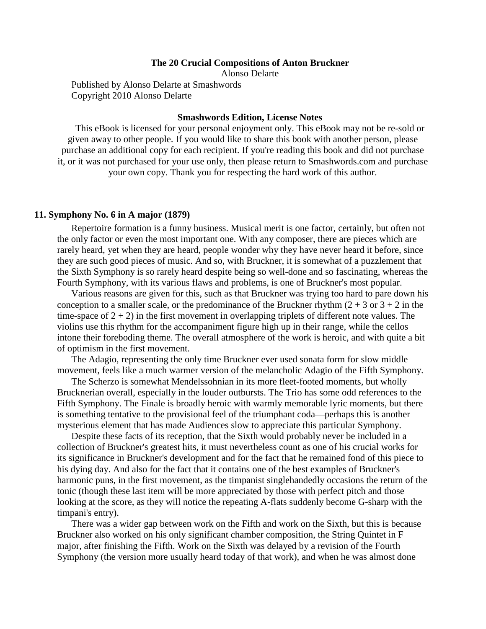## **The 20 Crucial Compositions of Anton Bruckner**

Alonso Delarte

Published by Alonso Delarte at Smashwords Copyright 2010 Alonso Delarte

## **Smashwords Edition, License Notes**

This eBook is licensed for your personal enjoyment only. This eBook may not be re-sold or given away to other people. If you would like to share this book with another person, please purchase an additional copy for each recipient. If you're reading this book and did not purchase it, or it was not purchased for your use only, then please return to Smashwords.com and purchase your own copy. Thank you for respecting the hard work of this author.

## **11. Symphony No. 6 in A major (1879)**

Repertoire formation is a funny business. Musical merit is one factor, certainly, but often not the only factor or even the most important one. With any composer, there are pieces which are rarely heard, yet when they are heard, people wonder why they have never heard it before, since they are such good pieces of music. And so, with Bruckner, it is somewhat of a puzzlement that the Sixth Symphony is so rarely heard despite being so well-done and so fascinating, whereas the Fourth Symphony, with its various flaws and problems, is one of Bruckner's most popular.

Various reasons are given for this, such as that Bruckner was trying too hard to pare down his conception to a smaller scale, or the predominance of the Bruckner rhythm  $(2 + 3)$  or  $3 + 2$  in the time-space of  $2 + 2$ ) in the first movement in overlapping triplets of different note values. The violins use this rhythm for the accompaniment figure high up in their range, while the cellos intone their foreboding theme. The overall atmosphere of the work is heroic, and with quite a bit of optimism in the first movement.

The Adagio, representing the only time Bruckner ever used sonata form for slow middle movement, feels like a much warmer version of the melancholic Adagio of the Fifth Symphony.

The Scherzo is somewhat Mendelssohnian in its more fleet-footed moments, but wholly Brucknerian overall, especially in the louder outbursts. The Trio has some odd references to the Fifth Symphony. The Finale is broadly heroic with warmly memorable lyric moments, but there is something tentative to the provisional feel of the triumphant coda—perhaps this is another mysterious element that has made Audiences slow to appreciate this particular Symphony.

Despite these facts of its reception, that the Sixth would probably never be included in a collection of Bruckner's greatest hits, it must nevertheless count as one of his crucial works for its significance in Bruckner's development and for the fact that he remained fond of this piece to his dying day. And also for the fact that it contains one of the best examples of Bruckner's harmonic puns, in the first movement, as the timpanist singlehandedly occasions the return of the tonic (though these last item will be more appreciated by those with perfect pitch and those looking at the score, as they will notice the repeating A-flats suddenly become G-sharp with the timpani's entry).

There was a wider gap between work on the Fifth and work on the Sixth, but this is because Bruckner also worked on his only significant chamber composition, the String Quintet in F major, after finishing the Fifth. Work on the Sixth was delayed by a revision of the Fourth Symphony (the version more usually heard today of that work), and when he was almost done